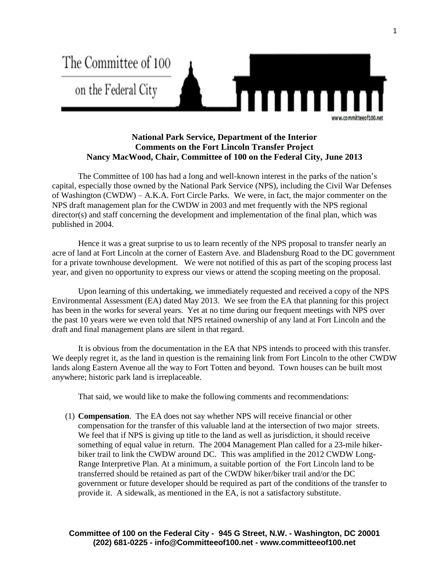

## **National Park Service, Department of the Interior Comments on the Fort Lincoln Transfer Project Nancy MacWood, Chair, Committee of 100 on the Federal City, June 2013**

The Committee of 100 has had a long and well-known interest in the parks of the nation's capital, especially those owned by the National Park Service (NPS), including the Civil War Defenses of Washington (CWDW) – A.K.A. Fort Circle Parks. We were, in fact, the major commenter on the NPS draft management plan for the CWDW in 2003 and met frequently with the NPS regional director(s) and staff concerning the development and implementation of the final plan, which was published in 2004.

Hence it was a great surprise to us to learn recently of the NPS proposal to transfer nearly an acre of land at Fort Lincoln at the corner of Eastern Ave. and Bladensburg Road to the DC government for a private townhouse development. We were not notified of this as part of the scoping process last year, and given no opportunity to express our views or attend the scoping meeting on the proposal.

Upon learning of this undertaking, we immediately requested and received a copy of the NPS Environmental Assessment (EA) dated May 2013. We see from the EA that planning for this project has been in the works for several years. Yet at no time during our frequent meetings with NPS over the past 10 years were we even told that NPS retained ownership of any land at Fort Lincoln and the draft and final management plans are silent in that regard.

It is obvious from the documentation in the EA that NPS intends to proceed with this transfer. We deeply regret it, as the land in question is the remaining link from Fort Lincoln to the other CWDW lands along Eastern Avenue all the way to Fort Totten and beyond. Town houses can be built most anywhere; historic park land is irreplaceable.

That said, we would like to make the following comments and recommendations:

(1) **Compensation**. The EA does not say whether NPS will receive financial or other compensation for the transfer of this valuable land at the intersection of two major streets. We feel that if NPS is giving up title to the land as well as jurisdiction, it should receive something of equal value in return. The 2004 Management Plan called for a 23-mile hikerbiker trail to link the CWDW around DC. This was amplified in the 2012 CWDW Long-Range Interpretive Plan. At a minimum, a suitable portion of the Fort Lincoln land to be transferred should be retained as part of the CWDW hiker/biker trail and/or the DC government or future developer should be required as part of the conditions of the transfer to provide it. A sidewalk, as mentioned in the EA, is not a satisfactory substitute.